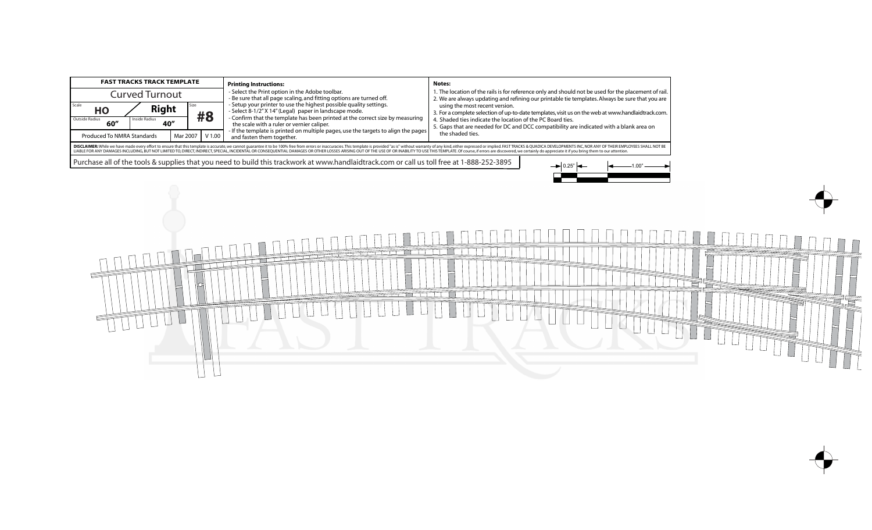